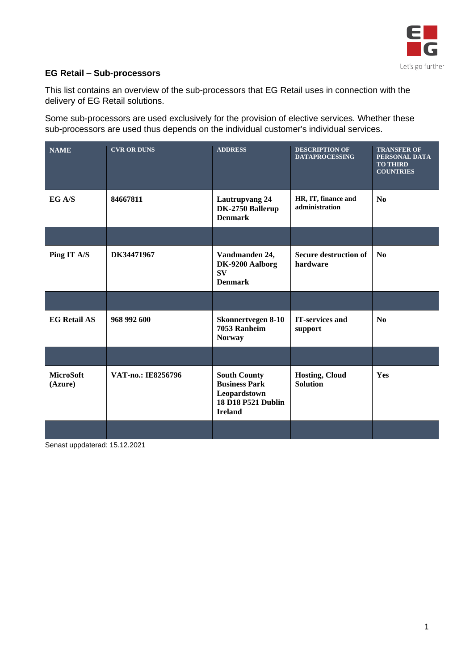

## **EG Retail – Sub-processors**

This list contains an overview of the sub-processors that EG Retail uses in connection with the delivery of EG Retail solutions.

Some sub-processors are used exclusively for the provision of elective services. Whether these sub-processors are used thus depends on the individual customer's individual services.

| <b>NAME</b>                 | <b>CVR OR DUNS</b>                                                                                                                                                                                                                                                                                                                                                                   | <b>ADDRESS</b>                                                                                             | <b>DESCRIPTION OF</b><br><b>DATAPROCESSING</b> | <b>TRANSFER OF</b><br>PERSONAL DATA<br><b>TO THIRD</b><br><b>COUNTRIES</b> |
|-----------------------------|--------------------------------------------------------------------------------------------------------------------------------------------------------------------------------------------------------------------------------------------------------------------------------------------------------------------------------------------------------------------------------------|------------------------------------------------------------------------------------------------------------|------------------------------------------------|----------------------------------------------------------------------------|
| EGA/S                       | 84667811                                                                                                                                                                                                                                                                                                                                                                             | <b>Lautrupvang 24</b><br>DK-2750 Ballerup<br><b>Denmark</b>                                                | HR, IT, finance and<br>administration          | $\mathbf{N_0}$                                                             |
|                             |                                                                                                                                                                                                                                                                                                                                                                                      |                                                                                                            |                                                |                                                                            |
| Ping IT A/S                 | DK34471967                                                                                                                                                                                                                                                                                                                                                                           | Vandmanden 24,<br>DK-9200 Aalborg<br><b>SV</b><br><b>Denmark</b>                                           | <b>Secure destruction of</b><br>hardware       | $\mathbf{N}\mathbf{0}$                                                     |
|                             |                                                                                                                                                                                                                                                                                                                                                                                      |                                                                                                            |                                                |                                                                            |
| <b>EG Retail AS</b>         | 968 992 600                                                                                                                                                                                                                                                                                                                                                                          | <b>Skonnertvegen 8-10</b><br>7053 Ranheim<br><b>Norway</b>                                                 | <b>IT-services and</b><br>support              | $\mathbf{N}\mathbf{0}$                                                     |
|                             |                                                                                                                                                                                                                                                                                                                                                                                      |                                                                                                            |                                                |                                                                            |
| <b>MicroSoft</b><br>(Azure) | VAT-no.: IE8256796                                                                                                                                                                                                                                                                                                                                                                   | <b>South County</b><br><b>Business Park</b><br>Leopardstown<br><b>18 D18 P521 Dublin</b><br><b>Ireland</b> | <b>Hosting, Cloud</b><br><b>Solution</b>       | Yes                                                                        |
|                             | $\overline{1}$ $\overline{1}$ $\overline{1}$ $\overline{1}$ $\overline{1}$ $\overline{1}$ $\overline{1}$ $\overline{1}$ $\overline{1}$ $\overline{1}$ $\overline{1}$ $\overline{1}$ $\overline{1}$ $\overline{1}$ $\overline{1}$ $\overline{1}$ $\overline{1}$ $\overline{1}$ $\overline{1}$ $\overline{1}$ $\overline{1}$ $\overline{1}$ $\overline{1}$ $\overline{1}$ $\overline{$ |                                                                                                            |                                                |                                                                            |

Senast uppdaterad: 15.12.2021